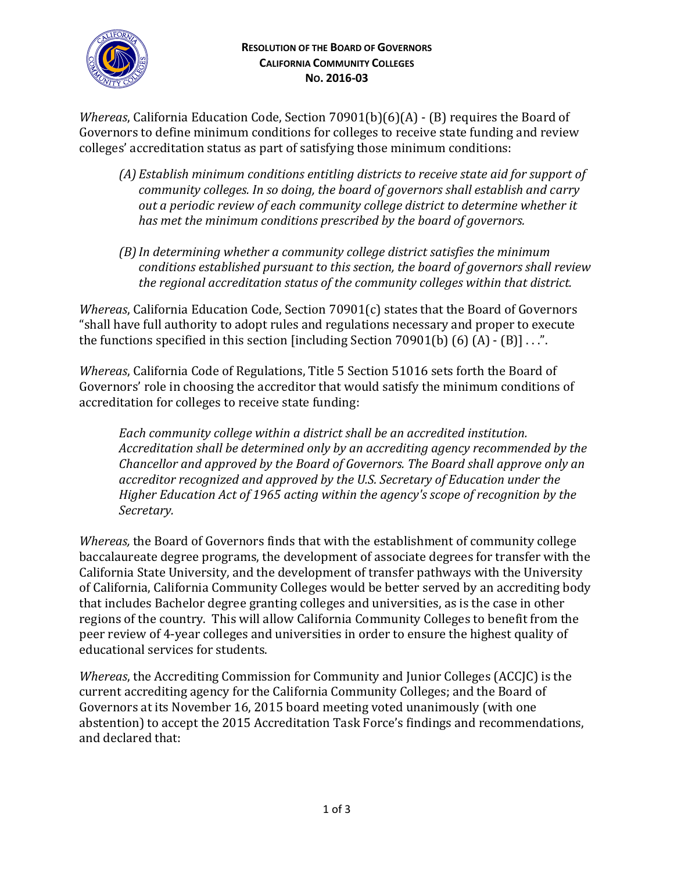

*Whereas*, California Education Code, Section 70901(b)(6)(A) - (B) requires the Board of Governors to define minimum conditions for colleges to receive state funding and review colleges' accreditation status as part of satisfying those minimum conditions:

- *(A) Establish minimum conditions entitling districts to receive state aid for support of community colleges. In so doing, the board of governors shall establish and carry out a periodic review of each community college district to determine whether it has met the minimum conditions prescribed by the board of governors.*
- *(B)In determining whether a community college district satisfies the minimum conditions established pursuant to this section, the board of governors shall review the regional accreditation status of the community colleges within that district.*

*Whereas*, California Education Code, Section 70901(c) states that the Board of Governors "shall have full authority to adopt rules and regulations necessary and proper to execute the functions specified in this section [including Section 70901(b)  $(6)$   $(A)$  -  $(B)$ ] . . .".

*Whereas*, California Code of Regulations, Title 5 Section 51016 sets forth the Board of Governors' role in choosing the accreditor that would satisfy the minimum conditions of accreditation for colleges to receive state funding:

*Each community college within a district shall be an accredited institution. Accreditation shall be determined only by an accrediting agency recommended by the Chancellor and approved by the Board of Governors. The Board shall approve only an accreditor recognized and approved by the U.S. Secretary of Education under the Higher Education Act of 1965 acting within the agency's scope of recognition by the Secretary.*

*Whereas,* the Board of Governors finds that with the establishment of community college baccalaureate degree programs, the development of associate degrees for transfer with the California State University, and the development of transfer pathways with the University of California, California Community Colleges would be better served by an accrediting body that includes Bachelor degree granting colleges and universities, as is the case in other regions of the country. This will allow California Community Colleges to benefit from the peer review of 4-year colleges and universities in order to ensure the highest quality of educational services for students.

*Whereas*, the Accrediting Commission for Community and Junior Colleges (ACCJC) is the current accrediting agency for the California Community Colleges; and the Board of Governors at its November 16, 2015 board meeting voted unanimously (with one abstention) to accept the 2015 Accreditation Task Force's findings and recommendations, and declared that: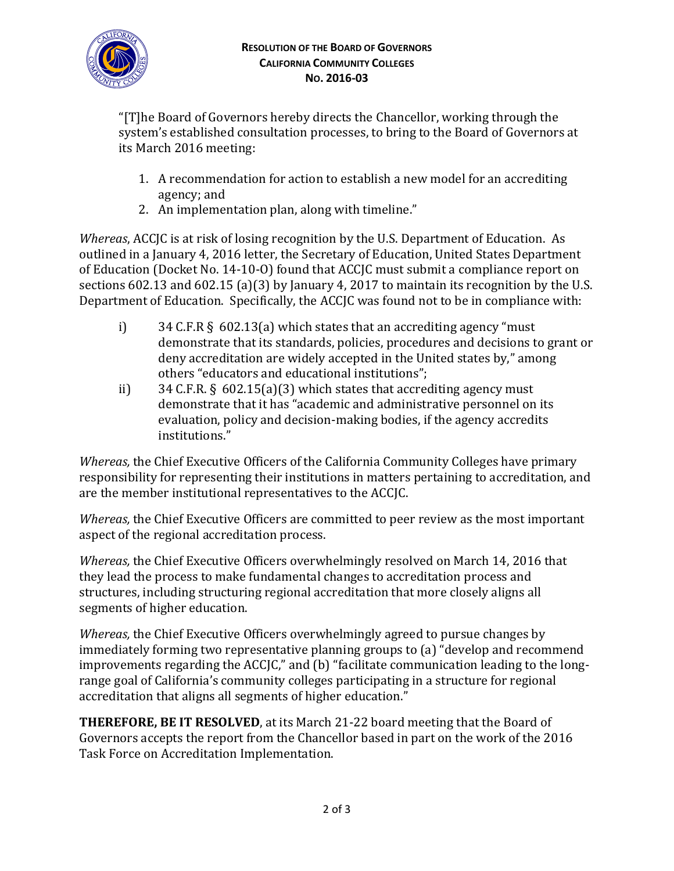

"[T]he Board of Governors hereby directs the Chancellor, working through the system's established consultation processes, to bring to the Board of Governors at its March 2016 meeting:

- 1. A recommendation for action to establish a new model for an accrediting agency; and
- 2. An implementation plan, along with timeline."

*Whereas*, ACCJC is at risk of losing recognition by the U.S. Department of Education. As outlined in a January 4, 2016 letter, the Secretary of Education, United States Department of Education (Docket No. 14-10-O) found that ACCJC must submit a compliance report on sections 602.13 and 602.15 (a)(3) by January 4, 2017 to maintain its recognition by the U.S. Department of Education. Specifically, the ACCJC was found not to be in compliance with:

- i) 34 C.F.R  $\S$  602.13(a) which states that an accrediting agency "must" demonstrate that its standards, policies, procedures and decisions to grant or deny accreditation are widely accepted in the United states by," among others "educators and educational institutions";
- ii) 34 C.F.R. §  $602.15(a)(3)$  which states that accrediting agency must demonstrate that it has "academic and administrative personnel on its evaluation, policy and decision-making bodies, if the agency accredits institutions."

*Whereas,* the Chief Executive Officers of the California Community Colleges have primary responsibility for representing their institutions in matters pertaining to accreditation, and are the member institutional representatives to the ACCJC.

*Whereas,* the Chief Executive Officers are committed to peer review as the most important aspect of the regional accreditation process.

*Whereas,* the Chief Executive Officers overwhelmingly resolved on March 14, 2016 that they lead the process to make fundamental changes to accreditation process and structures, including structuring regional accreditation that more closely aligns all segments of higher education.

*Whereas,* the Chief Executive Officers overwhelmingly agreed to pursue changes by immediately forming two representative planning groups to (a) "develop and recommend improvements regarding the ACCJC," and (b) "facilitate communication leading to the longrange goal of California's community colleges participating in a structure for regional accreditation that aligns all segments of higher education."

**THEREFORE, BE IT RESOLVED**, at its March 21-22 board meeting that the Board of Governors accepts the report from the Chancellor based in part on the work of the 2016 Task Force on Accreditation Implementation.